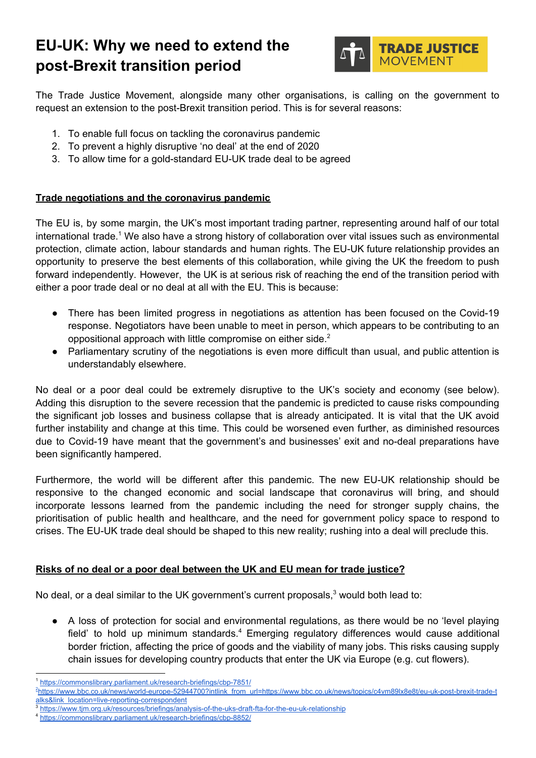# **EU-UK: Why we need to extend the post-Brexit transition period**



The Trade Justice Movement, alongside many other organisations, is calling on the government to request an extension to the post-Brexit transition period. This is for several reasons:

- 1. To enable full focus on tackling the coronavirus pandemic
- 2. To prevent a highly disruptive 'no deal' at the end of 2020
- 3. To allow time for a gold-standard EU-UK trade deal to be agreed

## **Trade negotiations and the coronavirus pandemic**

The EU is, by some margin, the UK's most important trading partner, representing around half of our total international trade.<sup>1</sup> We also have a strong history of collaboration over vital issues such as environmental protection, climate action, labour standards and human rights. The EU-UK future relationship provides an opportunity to preserve the best elements of this collaboration, while giving the UK the freedom to push forward independently. However, the UK is at serious risk of reaching the end of the transition period with either a poor trade deal or no deal at all with the EU. This is because:

- There has been limited progress in negotiations as attention has been focused on the Covid-19 response. Negotiators have been unable to meet in person, which appears to be contributing to an oppositional approach with little compromise on either side. $<sup>2</sup>$ </sup>
- Parliamentary scrutiny of the negotiations is even more difficult than usual, and public attention is understandably elsewhere.

No deal or a poor deal could be extremely disruptive to the UK's society and economy (see below). Adding this disruption to the severe recession that the pandemic is predicted to cause risks compounding the significant job losses and business collapse that is already anticipated. It is vital that the UK avoid further instability and change at this time. This could be worsened even further, as diminished resources due to Covid-19 have meant that the government's and businesses' exit and no-deal preparations have been significantly hampered.

Furthermore, the world will be different after this pandemic. The new EU-UK relationship should be responsive to the changed economic and social landscape that coronavirus will bring, and should incorporate lessons learned from the pandemic including the need for stronger supply chains, the prioritisation of public health and healthcare, and the need for government policy space to respond to crises. The EU-UK trade deal should be shaped to this new reality; rushing into a deal will preclude this.

#### **Risks of no deal or a poor deal between the UK and EU mean for trade justice?**

No deal, or a deal similar to the UK government's current proposals, $3$  would both lead to:

● A loss of protection for social and environmental regulations, as there would be no 'level playing field' to hold up minimum standards. $4$  Emerging regulatory differences would cause additional border friction, affecting the price of goods and the viability of many jobs. This risks causing supply chain issues for developing country products that enter the UK via Europe (e.g. cut flowers).

<sup>1</sup> <https://commonslibrary.parliament.uk/research-briefings/cbp-7851/>

<sup>2</sup>[https://www.bbc.co.uk/news/world-europe-52944700?intlink\\_from\\_url=https://www.bbc.co.uk/news/topics/c4vm89lx8e8t/eu-uk-post-brexit-trade-t](https://www.bbc.co.uk/news/world-europe-52944700?intlink_from_url=https://www.bbc.co.uk/news/topics/c4vm89lx8e8t/eu-uk-post-brexit-trade-talks&link_location=live-reporting-correspondent) [alks&link\\_location=live-reporting-correspondent](https://www.bbc.co.uk/news/world-europe-52944700?intlink_from_url=https://www.bbc.co.uk/news/topics/c4vm89lx8e8t/eu-uk-post-brexit-trade-talks&link_location=live-reporting-correspondent)

<sup>3</sup> <https://www.tjm.org.uk/resources/briefings/analysis-of-the-uks-draft-fta-for-the-eu-uk-relationship>

<https://commonslibrary.parliament.uk/research-briefings/cbp-8852/>